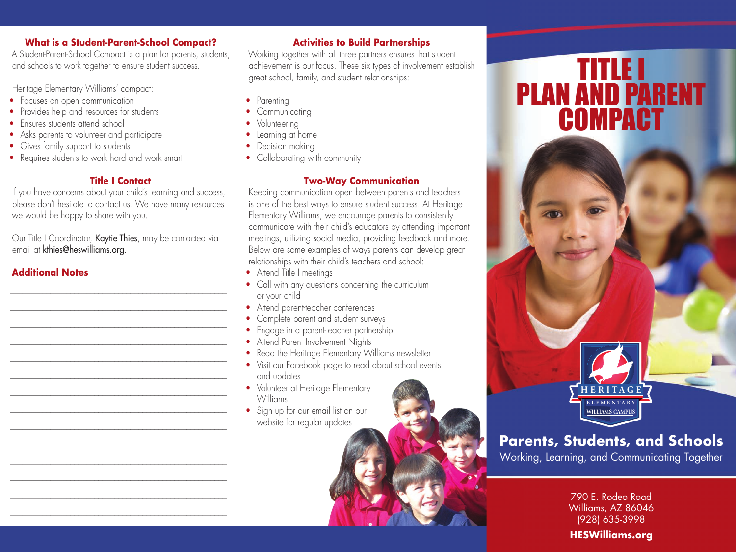### **What is a Student-Parent-School Compact?**

A Student-Parent-School Compact is a plan for parents, students, and schools to work together to ensure student success.

Heritage Elementary Williams' compact:

- Focuses on open communication
- Provides help and resources for students
- Ensures students attend school
- Asks parents to volunteer and participate
- Gives family support to students
- Requires students to work hard and work smart

## **Title I Contact**

If you have concerns about your child's learning and success, please don't hesitate to contact us. We have many resources we would be happy to share with you.

Our Title I Coordinator, Kaytie Thies, may be contacted via email at kthies@heswilliams.org.

\_\_\_\_\_\_\_\_\_\_\_\_\_\_\_\_\_\_\_\_\_\_\_\_\_\_\_\_\_\_\_\_\_\_\_\_\_\_\_\_\_\_\_\_\_\_\_\_\_\_\_\_\_\_ \_\_\_\_\_\_\_\_\_\_\_\_\_\_\_\_\_\_\_\_\_\_\_\_\_\_\_\_\_\_\_\_\_\_\_\_\_\_\_\_\_\_\_\_\_\_\_\_\_\_\_\_\_\_ \_\_\_\_\_\_\_\_\_\_\_\_\_\_\_\_\_\_\_\_\_\_\_\_\_\_\_\_\_\_\_\_\_\_\_\_\_\_\_\_\_\_\_\_\_\_\_\_\_\_\_\_\_\_ \_\_\_\_\_\_\_\_\_\_\_\_\_\_\_\_\_\_\_\_\_\_\_\_\_\_\_\_\_\_\_\_\_\_\_\_\_\_\_\_\_\_\_\_\_\_\_\_\_\_\_\_\_\_ \_\_\_\_\_\_\_\_\_\_\_\_\_\_\_\_\_\_\_\_\_\_\_\_\_\_\_\_\_\_\_\_\_\_\_\_\_\_\_\_\_\_\_\_\_\_\_\_\_\_\_\_\_\_ \_\_\_\_\_\_\_\_\_\_\_\_\_\_\_\_\_\_\_\_\_\_\_\_\_\_\_\_\_\_\_\_\_\_\_\_\_\_\_\_\_\_\_\_\_\_\_\_\_\_\_\_\_\_ \_\_\_\_\_\_\_\_\_\_\_\_\_\_\_\_\_\_\_\_\_\_\_\_\_\_\_\_\_\_\_\_\_\_\_\_\_\_\_\_\_\_\_\_\_\_\_\_\_\_\_\_\_\_ \_\_\_\_\_\_\_\_\_\_\_\_\_\_\_\_\_\_\_\_\_\_\_\_\_\_\_\_\_\_\_\_\_\_\_\_\_\_\_\_\_\_\_\_\_\_\_\_\_\_\_\_\_\_ \_\_\_\_\_\_\_\_\_\_\_\_\_\_\_\_\_\_\_\_\_\_\_\_\_\_\_\_\_\_\_\_\_\_\_\_\_\_\_\_\_\_\_\_\_\_\_\_\_\_\_\_\_\_ \_\_\_\_\_\_\_\_\_\_\_\_\_\_\_\_\_\_\_\_\_\_\_\_\_\_\_\_\_\_\_\_\_\_\_\_\_\_\_\_\_\_\_\_\_\_\_\_\_\_\_\_\_\_ \_\_\_\_\_\_\_\_\_\_\_\_\_\_\_\_\_\_\_\_\_\_\_\_\_\_\_\_\_\_\_\_\_\_\_\_\_\_\_\_\_\_\_\_\_\_\_\_\_\_\_\_\_\_ \_\_\_\_\_\_\_\_\_\_\_\_\_\_\_\_\_\_\_\_\_\_\_\_\_\_\_\_\_\_\_\_\_\_\_\_\_\_\_\_\_\_\_\_\_\_\_\_\_\_\_\_\_\_ \_\_\_\_\_\_\_\_\_\_\_\_\_\_\_\_\_\_\_\_\_\_\_\_\_\_\_\_\_\_\_\_\_\_\_\_\_\_\_\_\_\_\_\_\_\_\_\_\_\_\_\_\_\_ \_\_\_\_\_\_\_\_\_\_\_\_\_\_\_\_\_\_\_\_\_\_\_\_\_\_\_\_\_\_\_\_\_\_\_\_\_\_\_\_\_\_\_\_\_\_\_\_\_\_\_\_\_\_

# **Additional Notes**

# **Activities to Build Partnerships**

Working together with all three partners ensures that student achievement is our focus. These six types of involvement establish great school, family, and student relationships:

- Parenting
- Communicating
- Volunteering
- Learning at home
- Decision making
- Collaborating with community

## **Two-Way Communication**

Keeping communication open between parents and teachers is one of the best ways to ensure student success. At Heritage Elementary Williams, we encourage parents to consistently communicate with their child's educators by attending important meetings, utilizing social media, providing feedback and more. Below are some examples of ways parents can develop great relationships with their child's teachers and school:

- Attend Title I meetings
- Call with any questions concerning the curriculum or your child
- Attend parent-teacher conferences
- Complete parent and student surveys
- Engage in a parent-teacher partnership
- Attend Parent Involvement Nights
- Read the Heritage Elementary Williams newsletter
- Visit our Facebook page to read about school events
- and updates • Volunteer at Heritage Elementary Williams
- Sign up for our email list on our website for regular updates

# TITLE I PLAN AND PARENT **COMPACT**



# **Parents, Students, and Schools**

Working, Learning, and Communicating Together

790 E. Rodeo Road Williams, AZ 86046 (928) 635-3998

# **HESWilliams.org**